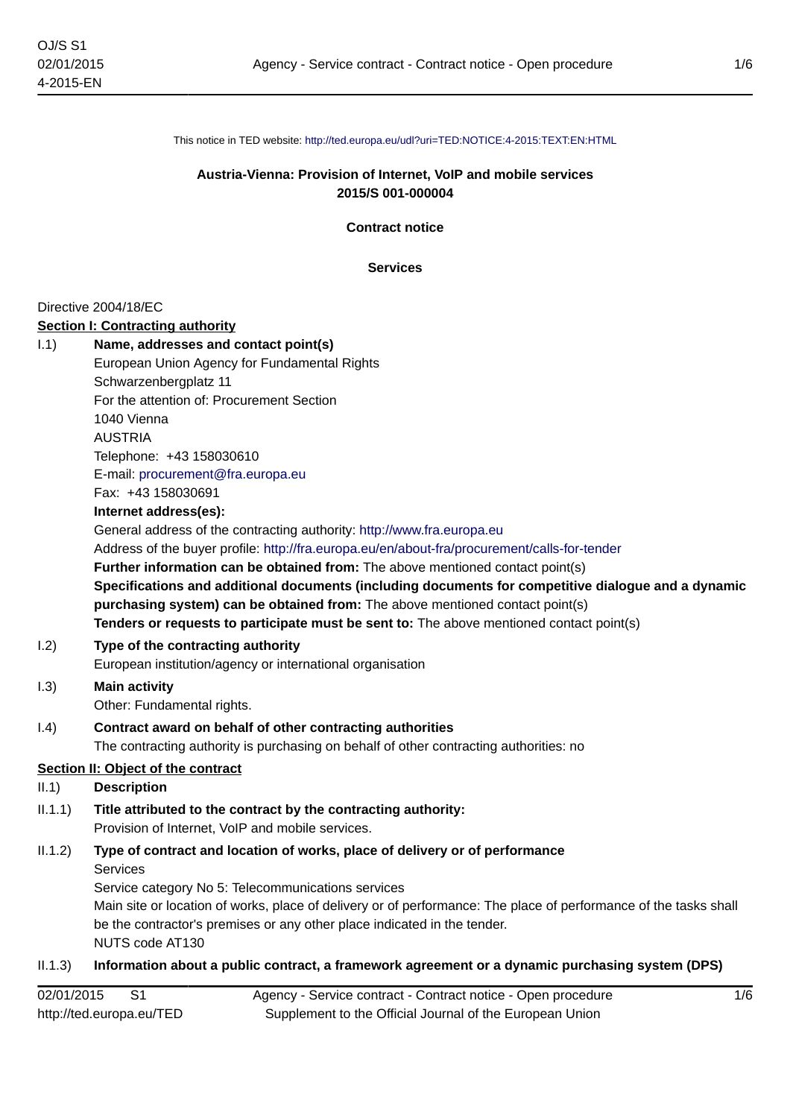This notice in TED website: <http://ted.europa.eu/udl?uri=TED:NOTICE:4-2015:TEXT:EN:HTML>

### **Austria-Vienna: Provision of Internet, VoIP and mobile services 2015/S 001-000004**

**Contract notice**

**Services**

#### Directive 2004/18/EC

#### **Section I: Contracting authority**

| 1.1) | Name, addresses and contact point(s)                                                                |
|------|-----------------------------------------------------------------------------------------------------|
|      | European Union Agency for Fundamental Rights                                                        |
|      | Schwarzenbergplatz 11                                                                               |
|      | For the attention of: Procurement Section                                                           |
|      | 1040 Vienna                                                                                         |
|      | <b>AUSTRIA</b>                                                                                      |
|      | Telephone: +43 158030610                                                                            |
|      | E-mail: procurement@fra.europa.eu                                                                   |
|      | Fax: +43 158030691                                                                                  |
|      | Internet address(es):                                                                               |
|      | General address of the contracting authority: http://www.fra.europa.eu                              |
|      | Address of the buyer profile: http://fra.europa.eu/en/about-fra/procurement/calls-for-tender        |
|      | Further information can be obtained from: The above mentioned contact point(s)                      |
|      | Specifications and additional documents (including documents for competitive dialogue and a dynamic |
|      | purchasing system) can be obtained from: The above mentioned contact point(s)                       |
|      | Tenders or requests to participate must be sent to: The above mentioned contact point(s)            |
| 1.2) | Type of the contracting authority                                                                   |
|      | European institution/agency or international organisation                                           |
| 1.3) | <b>Main activity</b>                                                                                |
|      | Other: Fundamental rights.                                                                          |
| (4)  | Contract award on behalf of other contracting authorities                                           |
|      | The contracting authority is purchasing on behalf of other contracting authorities: no              |

# **Section II: Object of the contract**

### II.1) **Description**

 $1.3)$ 

### II.1.1) **Title attributed to the contract by the contracting authority:** Provision of Internet, VoIP and mobile services.

# II.1.2) **Type of contract and location of works, place of delivery or of performance** Services

Service category No 5: Telecommunications services Main site or location of works, place of delivery or of performance: The place of performance of the tasks shall be the contractor's premises or any other place indicated in the tender. NUTS code AT130

# II.1.3) **Information about a public contract, a framework agreement or a dynamic purchasing system (DPS)**

| 02/01/2015               |  | Agency - Service contract - Contract notice - Open procedure |
|--------------------------|--|--------------------------------------------------------------|
| http://ted.europa.eu/TED |  | Supplement to the Official Journal of the European Union     |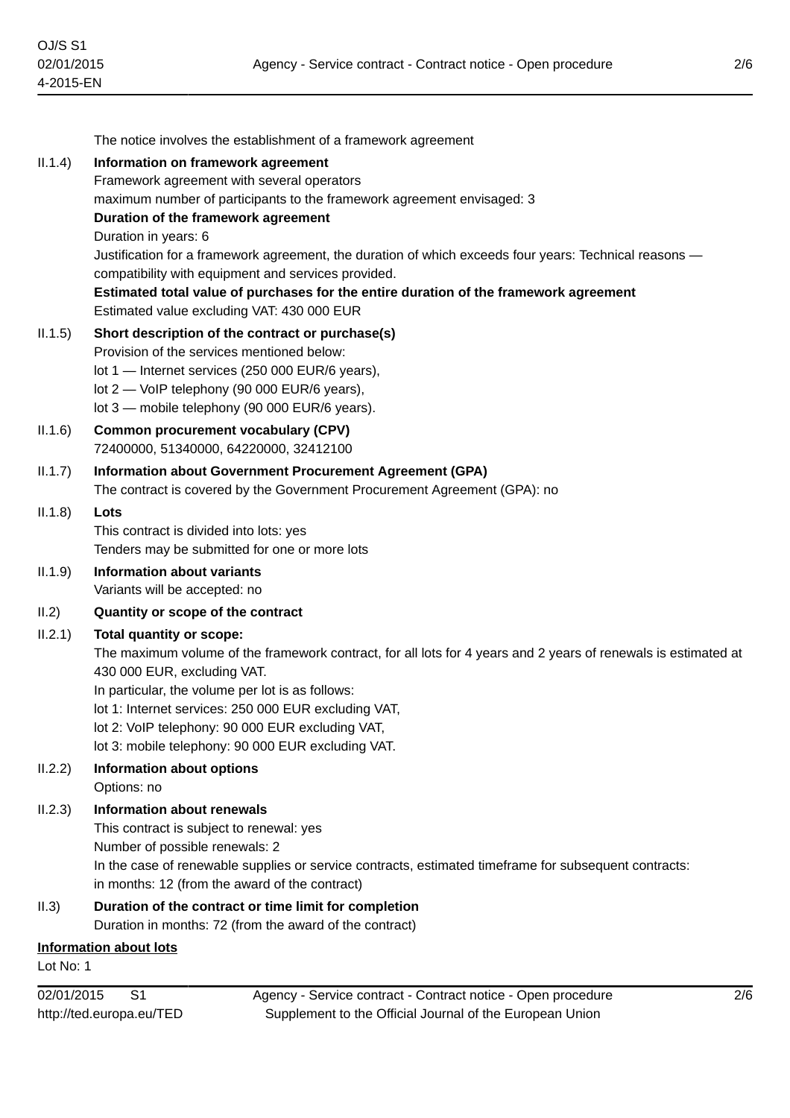|         | The notice involves the establishment of a framework agreement                                                 |
|---------|----------------------------------------------------------------------------------------------------------------|
| II.1.4) | Information on framework agreement<br>Framework agreement with several operators                               |
|         | maximum number of participants to the framework agreement envisaged: 3                                         |
|         | Duration of the framework agreement                                                                            |
|         | Duration in years: 6                                                                                           |
|         | Justification for a framework agreement, the duration of which exceeds four years: Technical reasons -         |
|         | compatibility with equipment and services provided.                                                            |
|         | Estimated total value of purchases for the entire duration of the framework agreement                          |
|         | Estimated value excluding VAT: 430 000 EUR                                                                     |
| II.1.5) | Short description of the contract or purchase(s)                                                               |
|         | Provision of the services mentioned below:<br>lot 1 - Internet services (250 000 EUR/6 years),                 |
|         | lot 2 - VoIP telephony (90 000 EUR/6 years),                                                                   |
|         | lot 3 - mobile telephony (90 000 EUR/6 years).                                                                 |
| II.1.6) | <b>Common procurement vocabulary (CPV)</b>                                                                     |
|         | 72400000, 51340000, 64220000, 32412100                                                                         |
| II.1.7) | <b>Information about Government Procurement Agreement (GPA)</b>                                                |
|         | The contract is covered by the Government Procurement Agreement (GPA): no                                      |
| II.1.8) | Lots                                                                                                           |
|         | This contract is divided into lots: yes                                                                        |
|         | Tenders may be submitted for one or more lots                                                                  |
| II.1.9) | <b>Information about variants</b><br>Variants will be accepted: no                                             |
| II.2)   | Quantity or scope of the contract                                                                              |
| II.2.1) | <b>Total quantity or scope:</b>                                                                                |
|         | The maximum volume of the framework contract, for all lots for 4 years and 2 years of renewals is estimated at |
|         | 430 000 EUR, excluding VAT.                                                                                    |
|         | In particular, the volume per lot is as follows:                                                               |
|         | lot 1: Internet services: 250 000 EUR excluding VAT,                                                           |
|         | lot 2: VoIP telephony: 90 000 EUR excluding VAT,                                                               |
|         | lot 3: mobile telephony: 90 000 EUR excluding VAT.                                                             |
| II.2.2) | Information about options                                                                                      |
|         | Options: no<br><b>Information about renewals</b>                                                               |
| II.2.3) | This contract is subject to renewal: yes                                                                       |
|         | Number of possible renewals: 2                                                                                 |
|         | In the case of renewable supplies or service contracts, estimated timeframe for subsequent contracts:          |
|         | in months: 12 (from the award of the contract)                                                                 |
| II.3)   | Duration of the contract or time limit for completion                                                          |
|         | Duration in months: 72 (from the award of the contract)                                                        |
|         | <b>Information about lots</b>                                                                                  |

Lot No: 1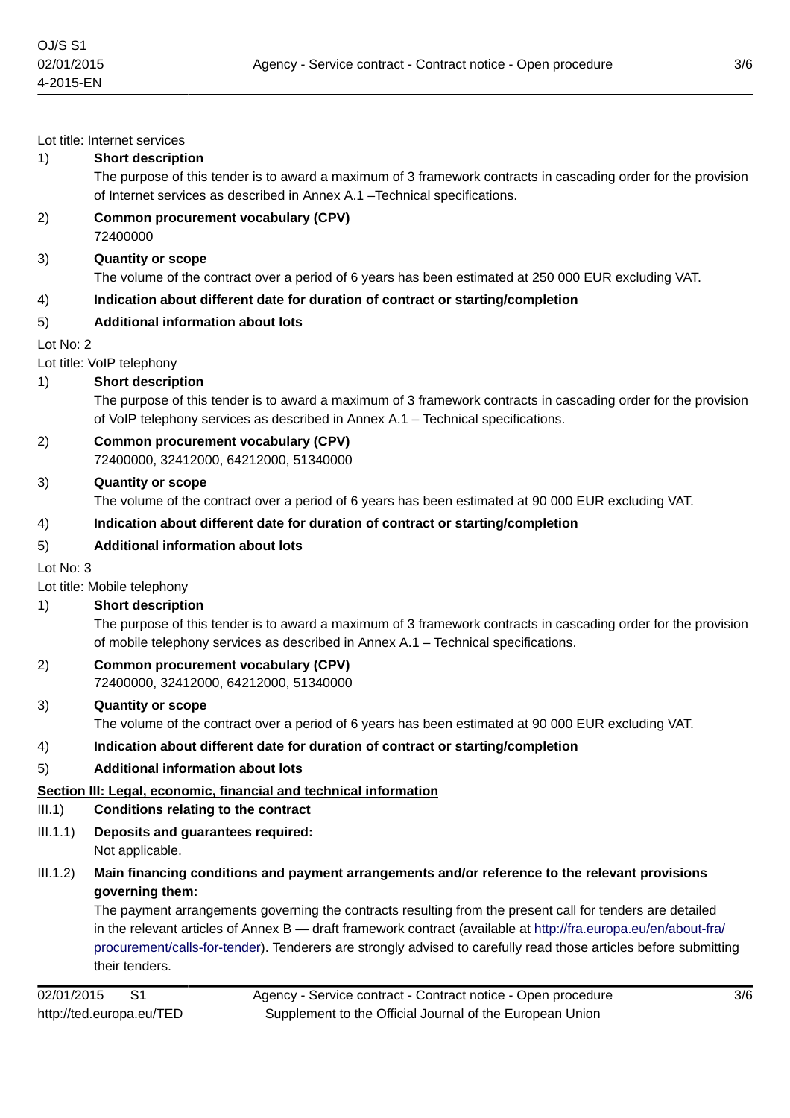Lot title: Internet services

#### 1) **Short description**

The purpose of this tender is to award a maximum of 3 framework contracts in cascading order for the provision of Internet services as described in Annex A.1 –Technical specifications.

2) **Common procurement vocabulary (CPV)** 72400000

#### 3) **Quantity or scope**

The volume of the contract over a period of 6 years has been estimated at 250 000 EUR excluding VAT.

4) **Indication about different date for duration of contract or starting/completion**

### 5) **Additional information about lots**

Lot No: 2

#### Lot title: VoIP telephony

#### 1) **Short description**

The purpose of this tender is to award a maximum of 3 framework contracts in cascading order for the provision of VoIP telephony services as described in Annex A.1 – Technical specifications.

#### 2) **Common procurement vocabulary (CPV)** 72400000, 32412000, 64212000, 51340000

#### 3) **Quantity or scope**

The volume of the contract over a period of 6 years has been estimated at 90 000 EUR excluding VAT.

#### 4) **Indication about different date for duration of contract or starting/completion**

#### 5) **Additional information about lots**

Lot No: 3

Lot title: Mobile telephony

### 1) **Short description**

The purpose of this tender is to award a maximum of 3 framework contracts in cascading order for the provision of mobile telephony services as described in Annex A.1 – Technical specifications.

2) **Common procurement vocabulary (CPV)** 72400000, 32412000, 64212000, 51340000

# 3) **Quantity or scope** The volume of the contract over a period of 6 years has been estimated at 90 000 EUR excluding VAT.

4) **Indication about different date for duration of contract or starting/completion**

# 5) **Additional information about lots**

# **Section III: Legal, economic, financial and technical information**

- III.1) **Conditions relating to the contract**
- III.1.1) **Deposits and guarantees required:**

Not applicable.

# III.1.2) **Main financing conditions and payment arrangements and/or reference to the relevant provisions governing them:**

The payment arrangements governing the contracts resulting from the present call for tenders are detailed in the relevant articles of Annex B — draft framework contract (available at [http://fra.europa.eu/en/about-fra/](http://fra.europa.eu/en/about-fra/procurement/calls-for-tender) [procurement/calls-for-tender](http://fra.europa.eu/en/about-fra/procurement/calls-for-tender)). Tenderers are strongly advised to carefully read those articles before submitting their tenders.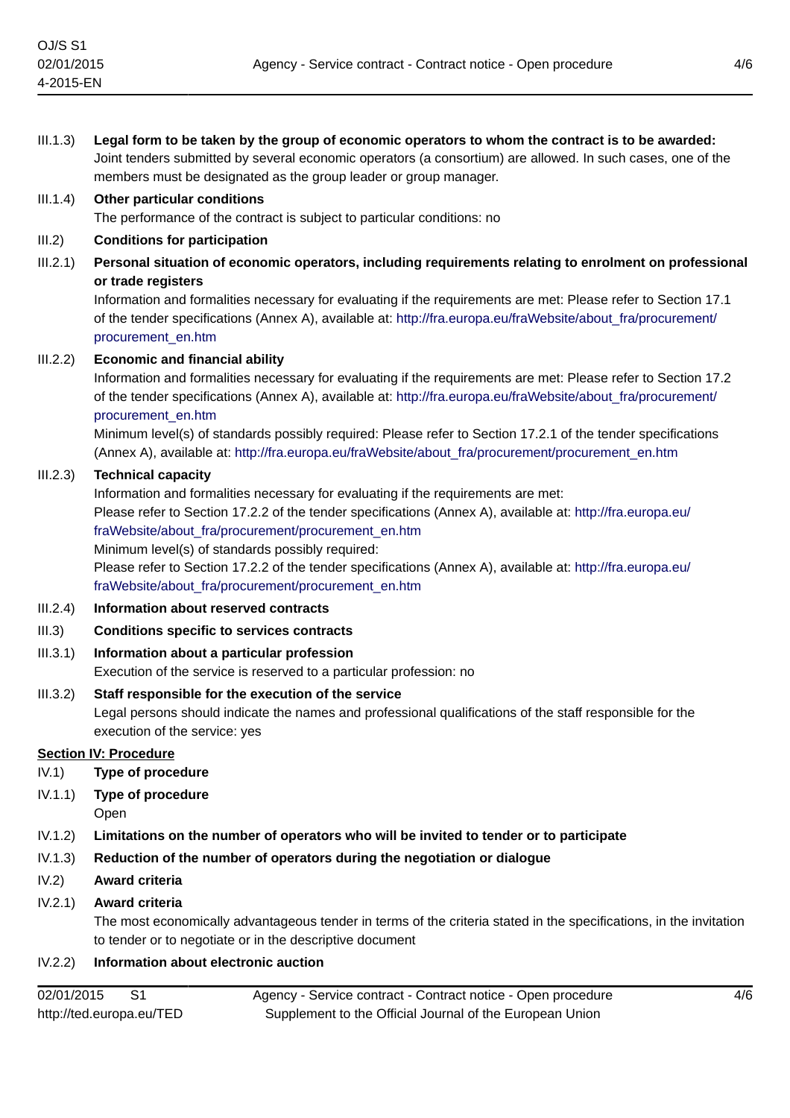| III.1.3) | Legal form to be taken by the group of economic operators to whom the contract is to be awarded:<br>Joint tenders submitted by several economic operators (a consortium) are allowed. In such cases, one of the<br>members must be designated as the group leader or group manager.                                                                                                                                                                                                                                |
|----------|--------------------------------------------------------------------------------------------------------------------------------------------------------------------------------------------------------------------------------------------------------------------------------------------------------------------------------------------------------------------------------------------------------------------------------------------------------------------------------------------------------------------|
| III.1.4) | <b>Other particular conditions</b><br>The performance of the contract is subject to particular conditions: no                                                                                                                                                                                                                                                                                                                                                                                                      |
| III.2)   | <b>Conditions for participation</b>                                                                                                                                                                                                                                                                                                                                                                                                                                                                                |
| III.2.1) | Personal situation of economic operators, including requirements relating to enrolment on professional<br>or trade registers<br>Information and formalities necessary for evaluating if the requirements are met: Please refer to Section 17.1                                                                                                                                                                                                                                                                     |
|          | of the tender specifications (Annex A), available at: http://fra.europa.eu/fraWebsite/about_fra/procurement/<br>procurement_en.htm                                                                                                                                                                                                                                                                                                                                                                                 |
| III.2.2) | <b>Economic and financial ability</b><br>Information and formalities necessary for evaluating if the requirements are met: Please refer to Section 17.2<br>of the tender specifications (Annex A), available at: http://fra.europa.eu/fraWebsite/about_fra/procurement/<br>procurement_en.htm<br>Minimum level(s) of standards possibly required: Please refer to Section 17.2.1 of the tender specifications<br>(Annex A), available at: http://fra.europa.eu/fraWebsite/about_fra/procurement/procurement_en.htm |
| III.2.3) | <b>Technical capacity</b><br>Information and formalities necessary for evaluating if the requirements are met:<br>Please refer to Section 17.2.2 of the tender specifications (Annex A), available at: http://fra.europa.eu/<br>fraWebsite/about_fra/procurement/procurement_en.htm<br>Minimum level(s) of standards possibly required:<br>Please refer to Section 17.2.2 of the tender specifications (Annex A), available at: http://fra.europa.eu/<br>fraWebsite/about_fra/procurement/procurement_en.htm       |
| III.2.4) | Information about reserved contracts                                                                                                                                                                                                                                                                                                                                                                                                                                                                               |
| III.3)   | <b>Conditions specific to services contracts</b>                                                                                                                                                                                                                                                                                                                                                                                                                                                                   |
| III.3.1) | Information about a particular profession<br>Execution of the service is reserved to a particular profession: no                                                                                                                                                                                                                                                                                                                                                                                                   |
| III.3.2) | Staff responsible for the execution of the service<br>Legal persons should indicate the names and professional qualifications of the staff responsible for the<br>execution of the service: yes                                                                                                                                                                                                                                                                                                                    |
|          | <b>Section IV: Procedure</b>                                                                                                                                                                                                                                                                                                                                                                                                                                                                                       |
| IV.1)    | <b>Type of procedure</b>                                                                                                                                                                                                                                                                                                                                                                                                                                                                                           |
| IV.1.1)  | Type of procedure<br>Open                                                                                                                                                                                                                                                                                                                                                                                                                                                                                          |
| IV.1.2)  | Limitations on the number of operators who will be invited to tender or to participate                                                                                                                                                                                                                                                                                                                                                                                                                             |
| IV.1.3)  | Reduction of the number of operators during the negotiation or dialogue                                                                                                                                                                                                                                                                                                                                                                                                                                            |
| IV.2)    | Award criteria                                                                                                                                                                                                                                                                                                                                                                                                                                                                                                     |
| IV.2.1)  | Award criteria<br>The most economically advantageous tender in terms of the criteria stated in the specifications, in the invitation<br>to tender or to negotiate or in the descriptive document                                                                                                                                                                                                                                                                                                                   |
| IV.2.2)  | Information about electronic auction                                                                                                                                                                                                                                                                                                                                                                                                                                                                               |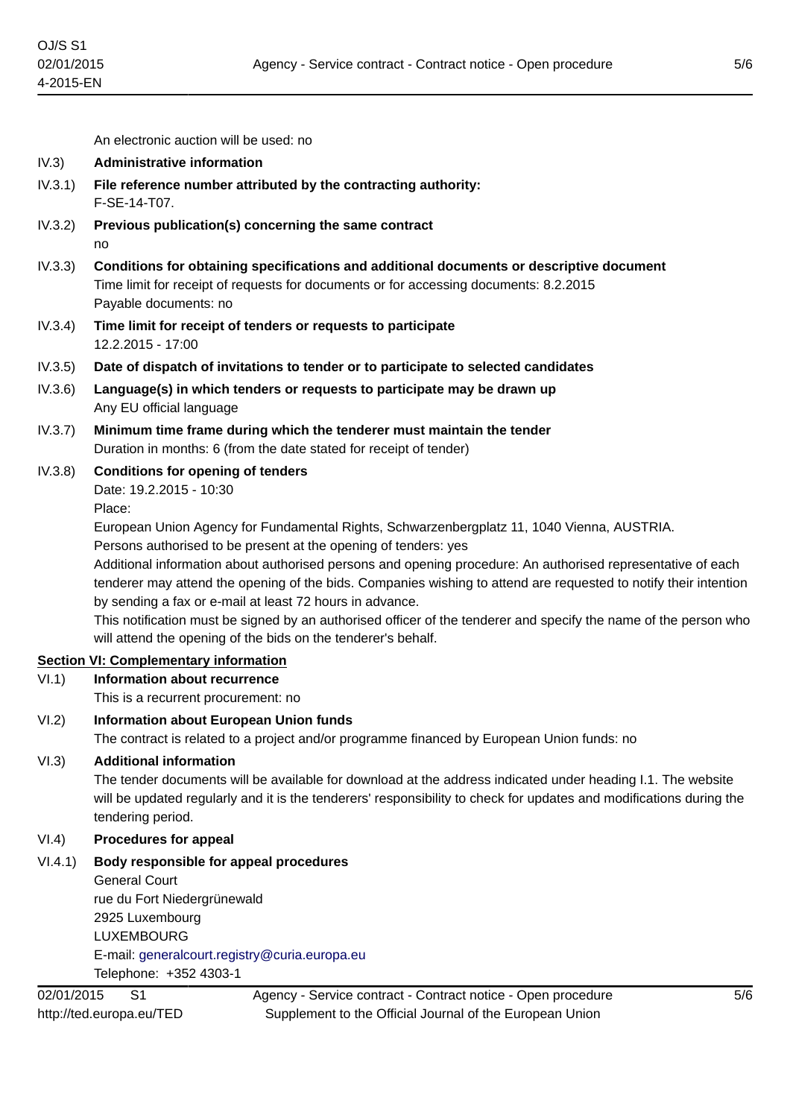An electronic auction will be used: no

- IV.3) **Administrative information**
- IV.3.1) **File reference number attributed by the contracting authority:** F-SE-14-T07.
- IV.3.2) **Previous publication(s) concerning the same contract** no
- IV.3.3) **Conditions for obtaining specifications and additional documents or descriptive document** Time limit for receipt of requests for documents or for accessing documents: 8.2.2015 Payable documents: no
- IV.3.4) **Time limit for receipt of tenders or requests to participate** 12.2.2015 - 17:00
- IV.3.5) **Date of dispatch of invitations to tender or to participate to selected candidates**
- IV.3.6) **Language(s) in which tenders or requests to participate may be drawn up** Any EU official language
- IV.3.7) **Minimum time frame during which the tenderer must maintain the tender** Duration in months: 6 (from the date stated for receipt of tender)
- IV.3.8) **Conditions for opening of tenders**

Date: 19.2.2015 - 10:30

Place:

European Union Agency for Fundamental Rights, Schwarzenbergplatz 11, 1040 Vienna, AUSTRIA.

Persons authorised to be present at the opening of tenders: yes

Additional information about authorised persons and opening procedure: An authorised representative of each tenderer may attend the opening of the bids. Companies wishing to attend are requested to notify their intention by sending a fax or e-mail at least 72 hours in advance.

This notification must be signed by an authorised officer of the tenderer and specify the name of the person who will attend the opening of the bids on the tenderer's behalf.

#### **Section VI: Complementary information**

VI.1) **Information about recurrence**

This is a recurrent procurement: no

VI.2) **Information about European Union funds**

The contract is related to a project and/or programme financed by European Union funds: no

#### VI.3) **Additional information**

The tender documents will be available for download at the address indicated under heading I.1. The website will be updated regularly and it is the tenderers' responsibility to check for updates and modifications during the tendering period.

#### VI.4) **Procedures for appeal**

VI.4.1) **Body responsible for appeal procedures** General Court rue du Fort Niedergrünewald

> 2925 Luxembourg LUXEMBOURG E-mail: [generalcourt.registry@curia.europa.eu](mailto:generalcourt.registry@curia.europa.eu) Telephone: +352 4303-1

Agency - Service contract - Contract notice - Open procedure Supplement to the Official Journal of the European Union